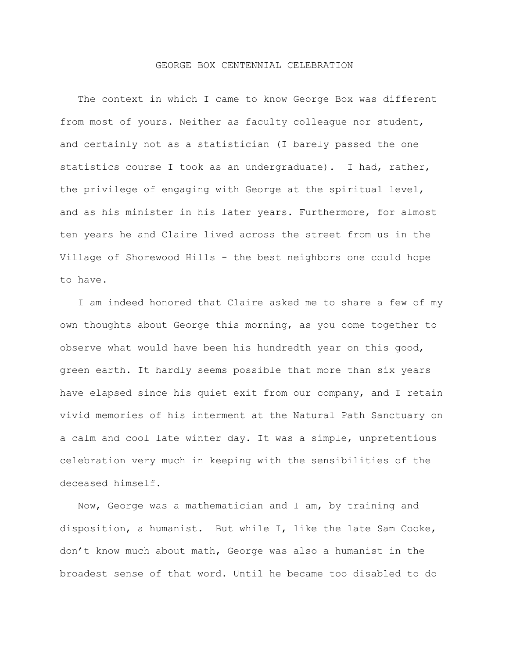## GEORGE BOX CENTENNIAL CELEBRATION

 The context in which I came to know George Box was different from most of yours. Neither as faculty colleague nor student, and certainly not as a statistician (I barely passed the one statistics course I took as an undergraduate). I had, rather, the privilege of engaging with George at the spiritual level, and as his minister in his later years. Furthermore, for almost ten years he and Claire lived across the street from us in the Village of Shorewood Hills - the best neighbors one could hope to have.

 I am indeed honored that Claire asked me to share a few of my own thoughts about George this morning, as you come together to observe what would have been his hundredth year on this good, green earth. It hardly seems possible that more than six years have elapsed since his quiet exit from our company, and I retain vivid memories of his interment at the Natural Path Sanctuary on a calm and cool late winter day. It was a simple, unpretentious celebration very much in keeping with the sensibilities of the deceased himself.

 Now, George was a mathematician and I am, by training and disposition, a humanist. But while I, like the late Sam Cooke, don't know much about math, George was also a humanist in the broadest sense of that word. Until he became too disabled to do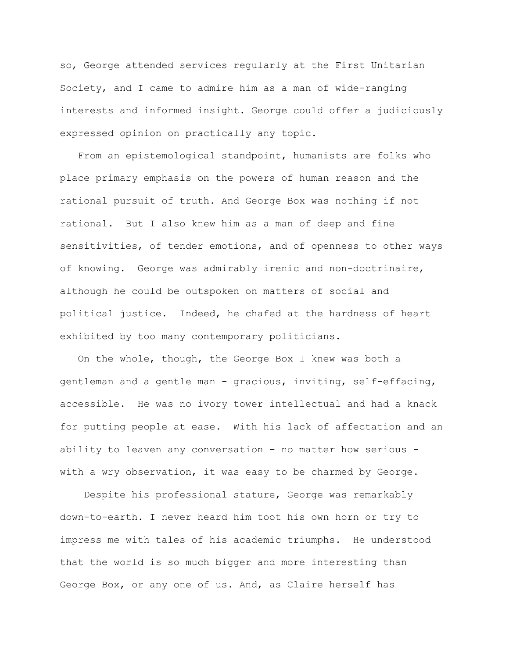so, George attended services regularly at the First Unitarian Society, and I came to admire him as a man of wide-ranging interests and informed insight. George could offer a judiciously expressed opinion on practically any topic.

 From an epistemological standpoint, humanists are folks who place primary emphasis on the powers of human reason and the rational pursuit of truth. And George Box was nothing if not rational. But I also knew him as a man of deep and fine sensitivities, of tender emotions, and of openness to other ways of knowing. George was admirably irenic and non-doctrinaire, although he could be outspoken on matters of social and political justice. Indeed, he chafed at the hardness of heart exhibited by too many contemporary politicians.

 On the whole, though, the George Box I knew was both a gentleman and a gentle man - gracious, inviting, self-effacing, accessible. He was no ivory tower intellectual and had a knack for putting people at ease. With his lack of affectation and an ability to leaven any conversation - no matter how serious with a wry observation, it was easy to be charmed by George.

 Despite his professional stature, George was remarkably down-to-earth. I never heard him toot his own horn or try to impress me with tales of his academic triumphs. He understood that the world is so much bigger and more interesting than George Box, or any one of us. And, as Claire herself has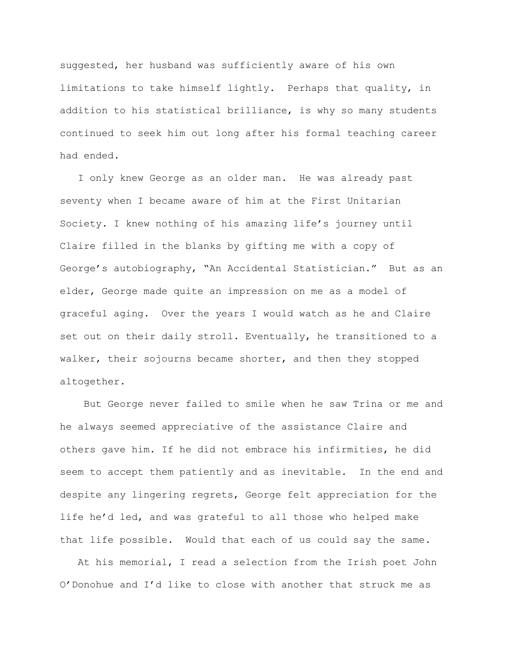suggested, her husband was sufficiently aware of his own limitations to take himself lightly. Perhaps that quality, in addition to his statistical brilliance, is why so many students continued to seek him out long after his formal teaching career had ended.

 I only knew George as an older man. He was already past seventy when I became aware of him at the First Unitarian Society. I knew nothing of his amazing life's journey until Claire filled in the blanks by gifting me with a copy of George's autobiography, "An Accidental Statistician." But as an elder, George made quite an impression on me as a model of graceful aging. Over the years I would watch as he and Claire set out on their daily stroll. Eventually, he transitioned to a walker, their sojourns became shorter, and then they stopped altogether.

 But George never failed to smile when he saw Trina or me and he always seemed appreciative of the assistance Claire and others gave him. If he did not embrace his infirmities, he did seem to accept them patiently and as inevitable. In the end and despite any lingering regrets, George felt appreciation for the life he'd led, and was grateful to all those who helped make that life possible. Would that each of us could say the same.

 At his memorial, I read a selection from the Irish poet John O'Donohue and I'd like to close with another that struck me as